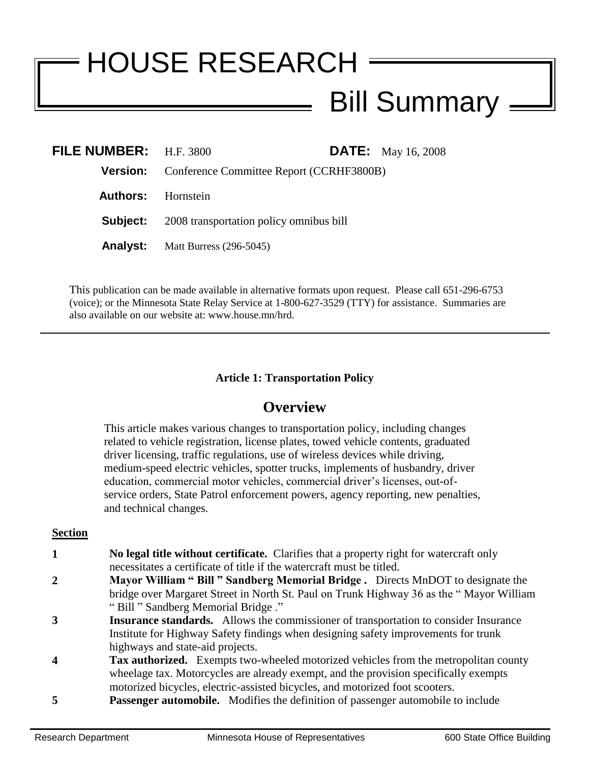# HOUSE RESEARCH Bill Summary

| FILE NUMBER: $H.F. 3800$  |                                                          |  | <b>DATE:</b> May 16, 2008 |
|---------------------------|----------------------------------------------------------|--|---------------------------|
|                           | <b>Version:</b> Conference Committee Report (CCRHF3800B) |  |                           |
| <b>Authors:</b> Hornstein |                                                          |  |                           |
|                           | <b>Subject:</b> 2008 transportation policy omnibus bill  |  |                           |
|                           | <b>Analyst:</b> Matt Burress (296-5045)                  |  |                           |

This publication can be made available in alternative formats upon request. Please call 651-296-6753 (voice); or the Minnesota State Relay Service at 1-800-627-3529 (TTY) for assistance. Summaries are also available on our website at: www.house.mn/hrd.

# **Article 1: Transportation Policy**

# **Overview**

This article makes various changes to transportation policy, including changes related to vehicle registration, license plates, towed vehicle contents, graduated driver licensing, traffic regulations, use of wireless devices while driving, medium-speed electric vehicles, spotter trucks, implements of husbandry, driver education, commercial motor vehicles, commercial driver's licenses, out-ofservice orders, State Patrol enforcement powers, agency reporting, new penalties, and technical changes.

#### **Section**

- **1 1 No legal title without certificate.** Clarifies that a property right for watercraft only necessitates a certificate of title if the watercraft must be titled.
- **2 Mayor William " Bill " Sandberg Memorial Bridge .** Directs MnDOT to designate the bridge over Margaret Street in North St. Paul on Trunk Highway 36 as the " Mayor William " Bill " Sandberg Memorial Bridge ."
- **3 Insurance standards.** Allows the commissioner of transportation to consider Insurance Institute for Highway Safety findings when designing safety improvements for trunk highways and state-aid projects.
- **4 Tax authorized.** Exempts two-wheeled motorized vehicles from the metropolitan county wheelage tax. Motorcycles are already exempt, and the provision specifically exempts motorized bicycles, electric-assisted bicycles, and motorized foot scooters.
- **5 Passenger automobile.** Modifies the definition of passenger automobile to include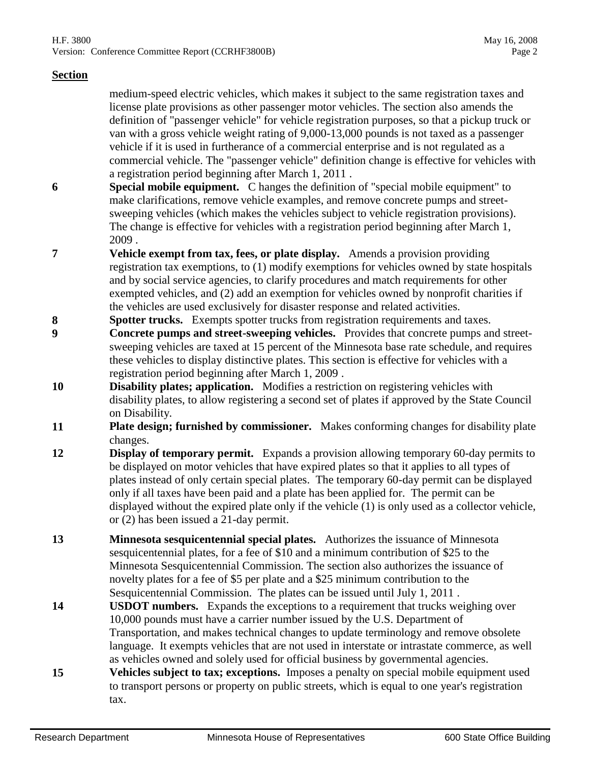medium-speed electric vehicles, which makes it subject to the same registration taxes and license plate provisions as other passenger motor vehicles. The section also amends the definition of "passenger vehicle" for vehicle registration purposes, so that a pickup truck or van with a gross vehicle weight rating of 9,000-13,000 pounds is not taxed as a passenger vehicle if it is used in furtherance of a commercial enterprise and is not regulated as a commercial vehicle. The "passenger vehicle" definition change is effective for vehicles with a registration period beginning after March 1, 2011 .

- **6 Special mobile equipment.** C hanges the definition of "special mobile equipment" to make clarifications, remove vehicle examples, and remove concrete pumps and streetsweeping vehicles (which makes the vehicles subject to vehicle registration provisions). The change is effective for vehicles with a registration period beginning after March 1, 2009 .
- **7 Vehicle exempt from tax, fees, or plate display.** Amends a provision providing registration tax exemptions, to (1) modify exemptions for vehicles owned by state hospitals and by social service agencies, to clarify procedures and match requirements for other exempted vehicles, and (2) add an exemption for vehicles owned by nonprofit charities if the vehicles are used exclusively for disaster response and related activities.
- **8 Spotter trucks.** Exempts spotter trucks from registration requirements and taxes.
- **9 Concrete pumps and street-sweeping vehicles.** Provides that concrete pumps and streetsweeping vehicles are taxed at 15 percent of the Minnesota base rate schedule, and requires these vehicles to display distinctive plates. This section is effective for vehicles with a registration period beginning after March 1, 2009 .
- **10 Disability plates; application.** Modifies a restriction on registering vehicles with disability plates, to allow registering a second set of plates if approved by the State Council on Disability.
- **11 Plate design; furnished by commissioner.** Makes conforming changes for disability plate changes.
- **12 Display of temporary permit.** Expands a provision allowing temporary 60-day permits to be displayed on motor vehicles that have expired plates so that it applies to all types of plates instead of only certain special plates. The temporary 60-day permit can be displayed only if all taxes have been paid and a plate has been applied for. The permit can be displayed without the expired plate only if the vehicle (1) is only used as a collector vehicle, or (2) has been issued a 21-day permit.
- **13 Minnesota sesquicentennial special plates.** Authorizes the issuance of Minnesota sesquicentennial plates, for a fee of \$10 and a minimum contribution of \$25 to the Minnesota Sesquicentennial Commission. The section also authorizes the issuance of novelty plates for a fee of \$5 per plate and a \$25 minimum contribution to the Sesquicentennial Commission. The plates can be issued until July 1, 2011 .
- **14 USDOT numbers.** Expands the exceptions to a requirement that trucks weighing over 10,000 pounds must have a carrier number issued by the U.S. Department of Transportation, and makes technical changes to update terminology and remove obsolete language. It exempts vehicles that are not used in interstate or intrastate commerce, as well as vehicles owned and solely used for official business by governmental agencies.
- **15 Vehicles subject to tax; exceptions.** Imposes a penalty on special mobile equipment used to transport persons or property on public streets, which is equal to one year's registration tax.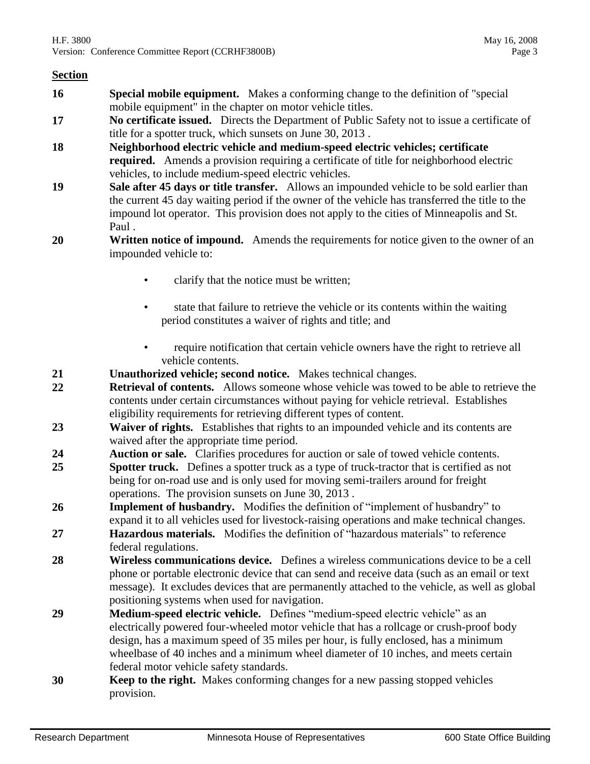- **16 Special mobile equipment.** Makes a conforming change to the definition of "special mobile equipment" in the chapter on motor vehicle titles.
- **17 No certificate issued.** Directs the Department of Public Safety not to issue a certificate of title for a spotter truck, which sunsets on June 30, 2013 .
- **18 Neighborhood electric vehicle and medium-speed electric vehicles; certificate required.** Amends a provision requiring a certificate of title for neighborhood electric vehicles, to include medium-speed electric vehicles.
- **19 Sale after 45 days or title transfer.** Allows an impounded vehicle to be sold earlier than the current 45 day waiting period if the owner of the vehicle has transferred the title to the impound lot operator. This provision does not apply to the cities of Minneapolis and St. Paul .
- **20 Written notice of impound.** Amends the requirements for notice given to the owner of an impounded vehicle to:
	- clarify that the notice must be written;
	- state that failure to retrieve the vehicle or its contents within the waiting period constitutes a waiver of rights and title; and
	- require notification that certain vehicle owners have the right to retrieve all vehicle contents.
- **21 Unauthorized vehicle; second notice.** Makes technical changes.
- **22 Retrieval of contents.** Allows someone whose vehicle was towed to be able to retrieve the contents under certain circumstances without paying for vehicle retrieval. Establishes eligibility requirements for retrieving different types of content.
- **23 Waiver of rights.** Establishes that rights to an impounded vehicle and its contents are waived after the appropriate time period.
- **24 Auction or sale.** Clarifies procedures for auction or sale of towed vehicle contents.
- **25 Spotter truck.** Defines a spotter truck as a type of truck-tractor that is certified as not being for on-road use and is only used for moving semi-trailers around for freight operations. The provision sunsets on June 30, 2013 .
- **26 Implement of husbandry.** Modifies the definition of "implement of husbandry" to expand it to all vehicles used for livestock-raising operations and make technical changes.
- **27 Hazardous materials.** Modifies the definition of "hazardous materials" to reference federal regulations.
- **28 Wireless communications device.** Defines a wireless communications device to be a cell phone or portable electronic device that can send and receive data (such as an email or text message). It excludes devices that are permanently attached to the vehicle, as well as global positioning systems when used for navigation.
- **29 Medium-speed electric vehicle.** Defines "medium-speed electric vehicle" as an electrically powered four-wheeled motor vehicle that has a rollcage or crush-proof body design, has a maximum speed of 35 miles per hour, is fully enclosed, has a minimum wheelbase of 40 inches and a minimum wheel diameter of 10 inches, and meets certain federal motor vehicle safety standards.
- **30 Keep to the right.** Makes conforming changes for a new passing stopped vehicles provision.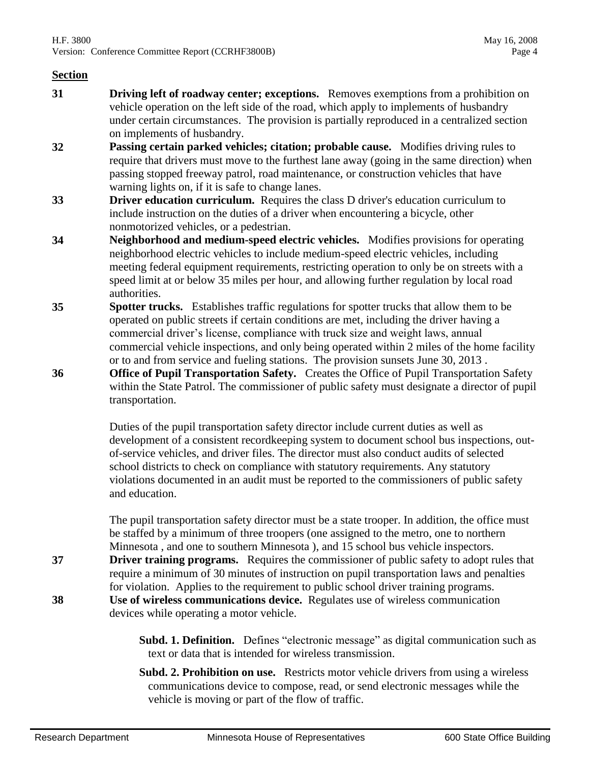- **31 Driving left of roadway center; exceptions.** Removes exemptions from a prohibition on vehicle operation on the left side of the road, which apply to implements of husbandry under certain circumstances. The provision is partially reproduced in a centralized section on implements of husbandry.
- **32 Passing certain parked vehicles; citation; probable cause.** Modifies driving rules to require that drivers must move to the furthest lane away (going in the same direction) when passing stopped freeway patrol, road maintenance, or construction vehicles that have warning lights on, if it is safe to change lanes.
- **33 Driver education curriculum.** Requires the class D driver's education curriculum to include instruction on the duties of a driver when encountering a bicycle, other nonmotorized vehicles, or a pedestrian.
- **34 Neighborhood and medium-speed electric vehicles.** Modifies provisions for operating neighborhood electric vehicles to include medium-speed electric vehicles, including meeting federal equipment requirements, restricting operation to only be on streets with a speed limit at or below 35 miles per hour, and allowing further regulation by local road authorities.
- **35 Spotter trucks.** Establishes traffic regulations for spotter trucks that allow them to be operated on public streets if certain conditions are met, including the driver having a commercial driver's license, compliance with truck size and weight laws, annual commercial vehicle inspections, and only being operated within 2 miles of the home facility or to and from service and fueling stations. The provision sunsets June 30, 2013 .
- **36 Office of Pupil Transportation Safety.** Creates the Office of Pupil Transportation Safety within the State Patrol. The commissioner of public safety must designate a director of pupil transportation.

Duties of the pupil transportation safety director include current duties as well as development of a consistent recordkeeping system to document school bus inspections, outof-service vehicles, and driver files. The director must also conduct audits of selected school districts to check on compliance with statutory requirements. Any statutory violations documented in an audit must be reported to the commissioners of public safety and education.

The pupil transportation safety director must be a state trooper. In addition, the office must be staffed by a minimum of three troopers (one assigned to the metro, one to northern Minnesota , and one to southern Minnesota ), and 15 school bus vehicle inspectors.

**37 Driver training programs.** Requires the commissioner of public safety to adopt rules that require a minimum of 30 minutes of instruction on pupil transportation laws and penalties for violation. Applies to the requirement to public school driver training programs. **38 Use of wireless communications device.** Regulates use of wireless communication

devices while operating a motor vehicle.

- **Subd. 1. Definition.** Defines "electronic message" as digital communication such as text or data that is intended for wireless transmission.
- **Subd. 2. Prohibition on use.** Restricts motor vehicle drivers from using a wireless communications device to compose, read, or send electronic messages while the vehicle is moving or part of the flow of traffic.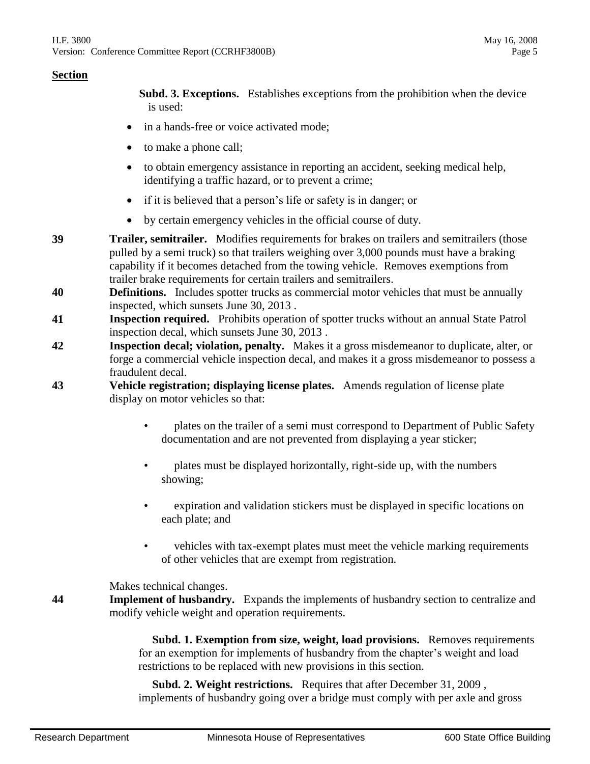**Subd. 3. Exceptions.** Establishes exceptions from the prohibition when the device is used:

- in a hands-free or voice activated mode:
- to make a phone call;
- to obtain emergency assistance in reporting an accident, seeking medical help, identifying a traffic hazard, or to prevent a crime;
- if it is believed that a person's life or safety is in danger; or
- by certain emergency vehicles in the official course of duty.
- **39 Trailer, semitrailer.** Modifies requirements for brakes on trailers and semitrailers (those pulled by a semi truck) so that trailers weighing over 3,000 pounds must have a braking capability if it becomes detached from the towing vehicle. Removes exemptions from trailer brake requirements for certain trailers and semitrailers.
- **40 Definitions.** Includes spotter trucks as commercial motor vehicles that must be annually inspected, which sunsets June 30, 2013 .
- **41 Inspection required.** Prohibits operation of spotter trucks without an annual State Patrol inspection decal, which sunsets June 30, 2013 .
- **42 Inspection decal; violation, penalty.** Makes it a gross misdemeanor to duplicate, alter, or forge a commercial vehicle inspection decal, and makes it a gross misdemeanor to possess a fraudulent decal.
- **43 Vehicle registration; displaying license plates.** Amends regulation of license plate display on motor vehicles so that:
	- plates on the trailer of a semi must correspond to Department of Public Safety documentation and are not prevented from displaying a year sticker;
	- plates must be displayed horizontally, right-side up, with the numbers showing;
	- expiration and validation stickers must be displayed in specific locations on each plate; and
	- vehicles with tax-exempt plates must meet the vehicle marking requirements of other vehicles that are exempt from registration.

Makes technical changes.

**44 Implement of husbandry.** Expands the implements of husbandry section to centralize and modify vehicle weight and operation requirements.

> **Subd. 1. Exemption from size, weight, load provisions.** Removes requirements for an exemption for implements of husbandry from the chapter's weight and load restrictions to be replaced with new provisions in this section.

 **Subd. 2. Weight restrictions.** Requires that after December 31, 2009 , implements of husbandry going over a bridge must comply with per axle and gross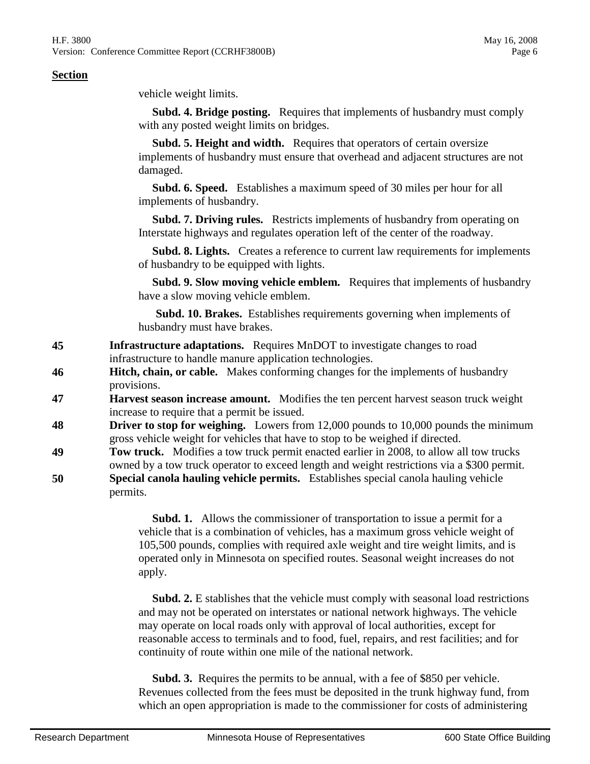vehicle weight limits.

 **Subd. 4. Bridge posting.** Requires that implements of husbandry must comply with any posted weight limits on bridges.

 **Subd. 5. Height and width.** Requires that operators of certain oversize implements of husbandry must ensure that overhead and adjacent structures are not damaged.

 **Subd. 6. Speed.** Establishes a maximum speed of 30 miles per hour for all implements of husbandry.

 **Subd. 7. Driving rules.** Restricts implements of husbandry from operating on Interstate highways and regulates operation left of the center of the roadway.

 **Subd. 8. Lights.** Creates a reference to current law requirements for implements of husbandry to be equipped with lights.

 **Subd. 9. Slow moving vehicle emblem.** Requires that implements of husbandry have a slow moving vehicle emblem.

 **Subd. 10. Brakes.** Establishes requirements governing when implements of husbandry must have brakes.

- **45 Infrastructure adaptations.** Requires MnDOT to investigate changes to road infrastructure to handle manure application technologies.
- **46 Hitch, chain, or cable.** Makes conforming changes for the implements of husbandry provisions.
- **47 Harvest season increase amount.** Modifies the ten percent harvest season truck weight increase to require that a permit be issued.
- **48 Driver to stop for weighing.** Lowers from 12,000 pounds to 10,000 pounds the minimum gross vehicle weight for vehicles that have to stop to be weighed if directed.
- **49 Tow truck.** Modifies a tow truck permit enacted earlier in 2008, to allow all tow trucks owned by a tow truck operator to exceed length and weight restrictions via a \$300 permit. **50 Special canola hauling vehicle permits.** Establishes special canola hauling vehicle

permits.

 **Subd. 1.** Allows the commissioner of transportation to issue a permit for a vehicle that is a combination of vehicles, has a maximum gross vehicle weight of 105,500 pounds, complies with required axle weight and tire weight limits, and is operated only in Minnesota on specified routes. Seasonal weight increases do not apply.

 **Subd. 2.** E stablishes that the vehicle must comply with seasonal load restrictions and may not be operated on interstates or national network highways. The vehicle may operate on local roads only with approval of local authorities, except for reasonable access to terminals and to food, fuel, repairs, and rest facilities; and for continuity of route within one mile of the national network.

 **Subd. 3.** Requires the permits to be annual, with a fee of \$850 per vehicle. Revenues collected from the fees must be deposited in the trunk highway fund, from which an open appropriation is made to the commissioner for costs of administering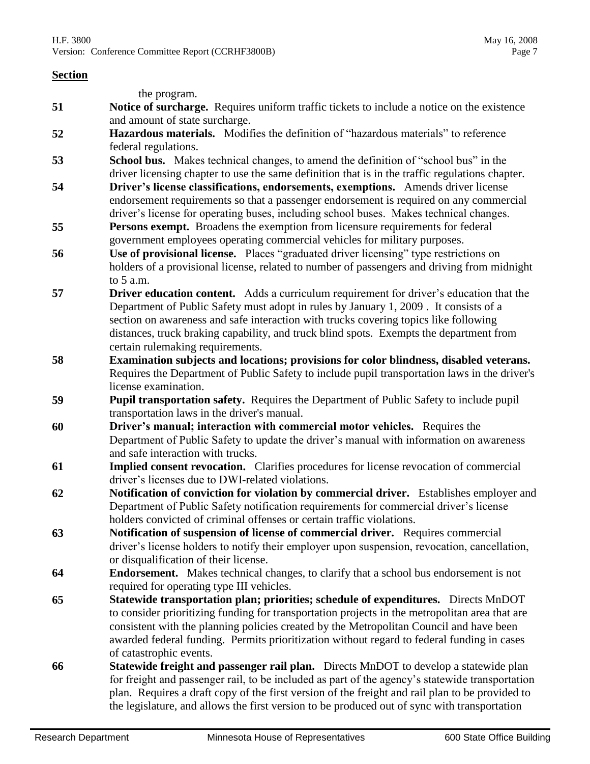the program. **51 Notice of surcharge.** Requires uniform traffic tickets to include a notice on the existence and amount of state surcharge. **52 Hazardous materials.** Modifies the definition of "hazardous materials" to reference federal regulations. **53 School bus.** Makes technical changes, to amend the definition of "school bus" in the driver licensing chapter to use the same definition that is in the traffic regulations chapter. **54 Driver's license classifications, endorsements, exemptions.** Amends driver license endorsement requirements so that a passenger endorsement is required on any commercial driver's license for operating buses, including school buses. Makes technical changes. **55 Persons exempt.** Broadens the exemption from licensure requirements for federal government employees operating commercial vehicles for military purposes. **56 Line Use of provisional license.** Places "graduated driver licensing" type restrictions on holders of a provisional license, related to number of passengers and driving from midnight to 5 a.m. **57 Driver education content.** Adds a curriculum requirement for driver's education that the Department of Public Safety must adopt in rules by January 1, 2009 . It consists of a section on awareness and safe interaction with trucks covering topics like following distances, truck braking capability, and truck blind spots. Exempts the department from certain rulemaking requirements. **58 Examination subjects and locations; provisions for color blindness, disabled veterans.**  Requires the Department of Public Safety to include pupil transportation laws in the driver's license examination. **59 Pupil transportation safety.** Requires the Department of Public Safety to include pupil transportation laws in the driver's manual. **60 Driver's manual; interaction with commercial motor vehicles.** Requires the Department of Public Safety to update the driver's manual with information on awareness and safe interaction with trucks. **61 Implied consent revocation.** Clarifies procedures for license revocation of commercial driver's licenses due to DWI-related violations. **62 Notification of conviction for violation by commercial driver.** Establishes employer and Department of Public Safety notification requirements for commercial driver's license holders convicted of criminal offenses or certain traffic violations. **63 Notification of suspension of license of commercial driver.** Requires commercial driver's license holders to notify their employer upon suspension, revocation, cancellation, or disqualification of their license. **64 Endorsement.** Makes technical changes, to clarify that a school bus endorsement is not required for operating type III vehicles. **65 Statewide transportation plan; priorities; schedule of expenditures.** Directs MnDOT to consider prioritizing funding for transportation projects in the metropolitan area that are consistent with the planning policies created by the Metropolitan Council and have been awarded federal funding. Permits prioritization without regard to federal funding in cases of catastrophic events. **66 Statewide freight and passenger rail plan.** Directs MnDOT to develop a statewide plan for freight and passenger rail, to be included as part of the agency's statewide transportation plan. Requires a draft copy of the first version of the freight and rail plan to be provided to

the legislature, and allows the first version to be produced out of sync with transportation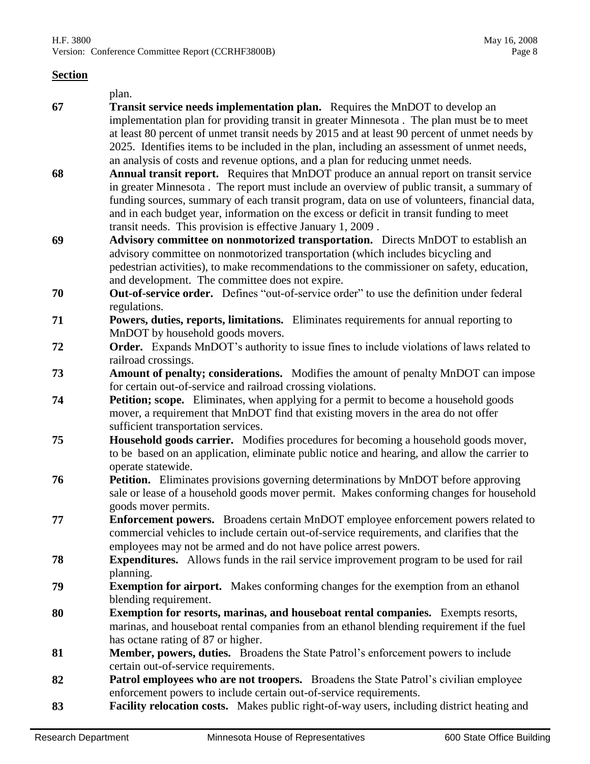|  | plan. |
|--|-------|
|--|-------|

- **67 Transit service needs implementation plan.** Requires the MnDOT to develop an implementation plan for providing transit in greater Minnesota . The plan must be to meet at least 80 percent of unmet transit needs by 2015 and at least 90 percent of unmet needs by 2025. Identifies items to be included in the plan, including an assessment of unmet needs, an analysis of costs and revenue options, and a plan for reducing unmet needs.
- **68 Annual transit report.** Requires that MnDOT produce an annual report on transit service in greater Minnesota . The report must include an overview of public transit, a summary of funding sources, summary of each transit program, data on use of volunteers, financial data, and in each budget year, information on the excess or deficit in transit funding to meet transit needs. This provision is effective January 1, 2009 .
- **69 Advisory committee on nonmotorized transportation.** Directs MnDOT to establish an advisory committee on nonmotorized transportation (which includes bicycling and pedestrian activities), to make recommendations to the commissioner on safety, education, and development. The committee does not expire.
- **70 Out-of-service order.** Defines "out-of-service order" to use the definition under federal regulations.
- **71 Powers, duties, reports, limitations.** Eliminates requirements for annual reporting to MnDOT by household goods movers.
- **72 Order.** Expands MnDOT's authority to issue fines to include violations of laws related to railroad crossings.
- **73 Amount of penalty; considerations.** Modifies the amount of penalty MnDOT can impose for certain out-of-service and railroad crossing violations.
- **74 Petition; scope.** Eliminates, when applying for a permit to become a household goods mover, a requirement that MnDOT find that existing movers in the area do not offer sufficient transportation services.
- **75 Household goods carrier.** Modifies procedures for becoming a household goods mover, to be based on an application, eliminate public notice and hearing, and allow the carrier to operate statewide.
- **76 Petition.** Eliminates provisions governing determinations by MnDOT before approving sale or lease of a household goods mover permit. Makes conforming changes for household goods mover permits.
- **77 Enforcement powers.** Broadens certain MnDOT employee enforcement powers related to commercial vehicles to include certain out-of-service requirements, and clarifies that the employees may not be armed and do not have police arrest powers.
- **78 Expenditures.** Allows funds in the rail service improvement program to be used for rail planning.
- **79 Exemption for airport.** Makes conforming changes for the exemption from an ethanol blending requirement.
- **80 Exemption for resorts, marinas, and houseboat rental companies.** Exempts resorts, marinas, and houseboat rental companies from an ethanol blending requirement if the fuel has octane rating of 87 or higher.
- **81 Member, powers, duties.** Broadens the State Patrol's enforcement powers to include certain out-of-service requirements.
- **82 Patrol employees who are not troopers.** Broadens the State Patrol's civilian employee enforcement powers to include certain out-of-service requirements.
- **83 Facility relocation costs.** Makes public right-of-way users, including district heating and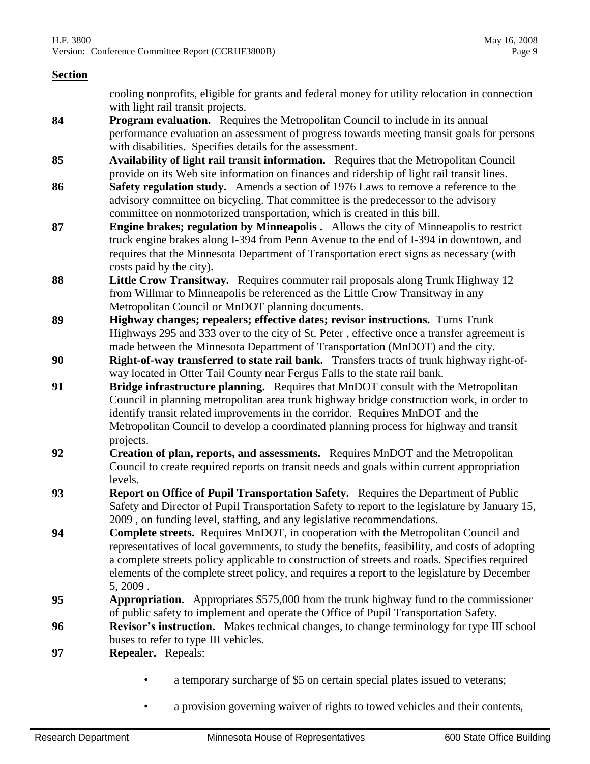cooling nonprofits, eligible for grants and federal money for utility relocation in connection with light rail transit projects.

- **84 Program evaluation.** Requires the Metropolitan Council to include in its annual performance evaluation an assessment of progress towards meeting transit goals for persons with disabilities. Specifies details for the assessment.
- **85 Availability of light rail transit information.** Requires that the Metropolitan Council provide on its Web site information on finances and ridership of light rail transit lines.
- **86 Safety regulation study.** Amends a section of 1976 Laws to remove a reference to the advisory committee on bicycling. That committee is the predecessor to the advisory committee on nonmotorized transportation, which is created in this bill.
- **87 Engine brakes; regulation by Minneapolis .** Allows the city of Minneapolis to restrict truck engine brakes along I-394 from Penn Avenue to the end of I-394 in downtown, and requires that the Minnesota Department of Transportation erect signs as necessary (with costs paid by the city).
- **88 Little Crow Transitway.** Requires commuter rail proposals along Trunk Highway 12 from Willmar to Minneapolis be referenced as the Little Crow Transitway in any Metropolitan Council or MnDOT planning documents.
- **89 Highway changes; repealers; effective dates; revisor instructions.** Turns Trunk Highways 295 and 333 over to the city of St. Peter , effective once a transfer agreement is made between the Minnesota Department of Transportation (MnDOT) and the city.
- **90 Right-of-way transferred to state rail bank.** Transfers tracts of trunk highway right-ofway located in Otter Tail County near Fergus Falls to the state rail bank.
- **91 Bridge infrastructure planning.** Requires that MnDOT consult with the Metropolitan Council in planning metropolitan area trunk highway bridge construction work, in order to identify transit related improvements in the corridor. Requires MnDOT and the Metropolitan Council to develop a coordinated planning process for highway and transit projects.
- **92 Creation of plan, reports, and assessments.** Requires MnDOT and the Metropolitan Council to create required reports on transit needs and goals within current appropriation levels.
- **93 Report on Office of Pupil Transportation Safety.** Requires the Department of Public Safety and Director of Pupil Transportation Safety to report to the legislature by January 15, 2009 , on funding level, staffing, and any legislative recommendations.
- **94 Complete streets.** Requires MnDOT, in cooperation with the Metropolitan Council and representatives of local governments, to study the benefits, feasibility, and costs of adopting a complete streets policy applicable to construction of streets and roads. Specifies required elements of the complete street policy, and requires a report to the legislature by December 5, 2009 .
- **95 Appropriation.** Appropriates \$575,000 from the trunk highway fund to the commissioner of public safety to implement and operate the Office of Pupil Transportation Safety.
- **96 Revisor's instruction.** Makes technical changes, to change terminology for type III school buses to refer to type III vehicles.
- **97 Repealer.** Repeals:
	- a temporary surcharge of \$5 on certain special plates issued to veterans;
	- a provision governing waiver of rights to towed vehicles and their contents,